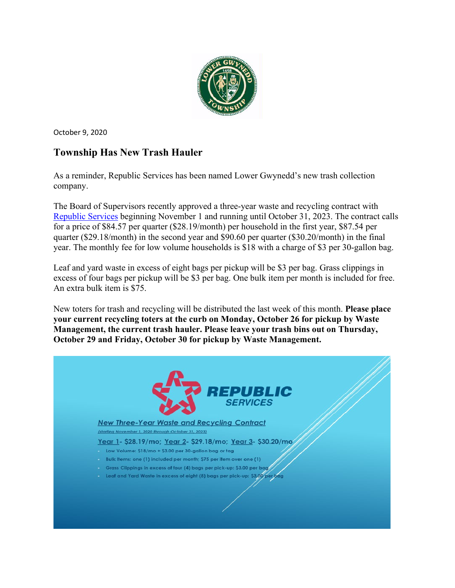

October 9, 2020

# **Township Has New Trash Hauler**

As a reminder, Republic Services has been named Lower Gwynedd's new trash collection company.

The Board of Supervisors recently approved a three-year waste and recycling contract with [Republic Services](https://www.republicservices.com/) beginning November 1 and running until October 31, 2023. The contract calls for a price of \$84.57 per quarter (\$28.19/month) per household in the first year, \$87.54 per quarter (\$29.18/month) in the second year and \$90.60 per quarter (\$30.20/month) in the final year. The monthly fee for low volume households is \$18 with a charge of \$3 per 30-gallon bag.

Leaf and yard waste in excess of eight bags per pickup will be \$3 per bag. Grass clippings in excess of four bags per pickup will be \$3 per bag. One bulk item per month is included for free. An extra bulk item is \$75.

New toters for trash and recycling will be distributed the last week of this month. **Please place your current recycling toters at the curb on Monday, October 26 for pickup by Waste Management, the current trash hauler. Please leave your trash bins out on Thursday, October 29 and Friday, October 30 for pickup by Waste Management.**

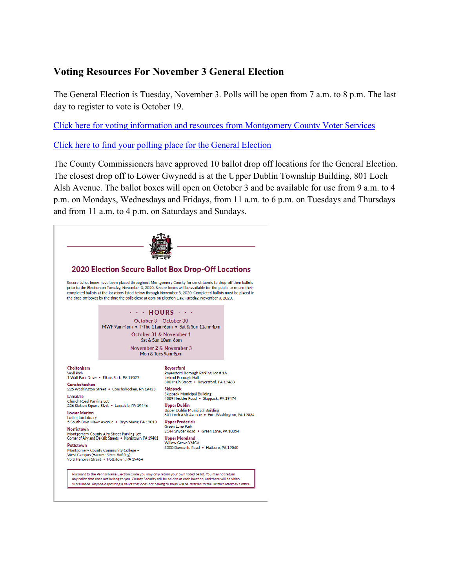## **Voting Resources For November 3 General Election**

The General Election is Tuesday, November 3. Polls will be open from 7 a.m. to 8 p.m. The last day to register to vote is October 19.

[Click here for voting information and resources from Montgomery County Voter Services](https://www.montcopa.org/753/Voter-Services)

[Click here to find your polling place for the General Election](https://www.montcopa.org/845/Where-Do-I-Vote)

The County Commissioners have approved 10 ballot drop off locations for the General Election. The closest drop off to Lower Gwynedd is at the Upper Dublin Township Building, 801 Loch Alsh Avenue. The ballot boxes will open on October 3 and be available for use from 9 a.m. to 4 p.m. on Mondays, Wednesdays and Fridays, from 11 a.m. to 6 p.m. on Tuesdays and Thursdays and from 11 a.m. to 4 p.m. on Saturdays and Sundays.

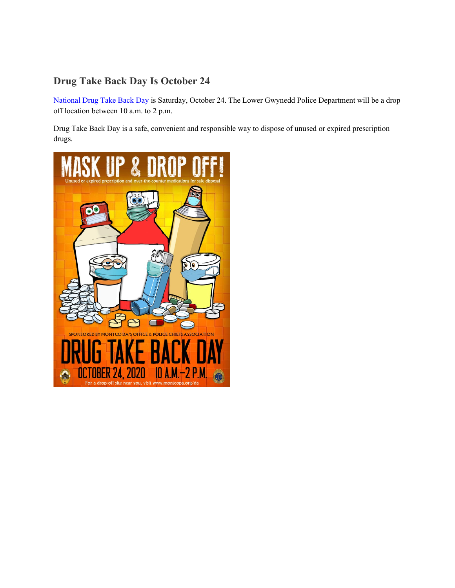# **Drug Take Back Day Is October 24**

[National Drug Take Back Day](https://takebackday.dea.gov/) is Saturday, October 24. The Lower Gwynedd Police Department will be a drop off location between 10 a.m. to 2 p.m.

Drug Take Back Day is a safe, convenient and responsible way to dispose of unused or expired prescription drugs.